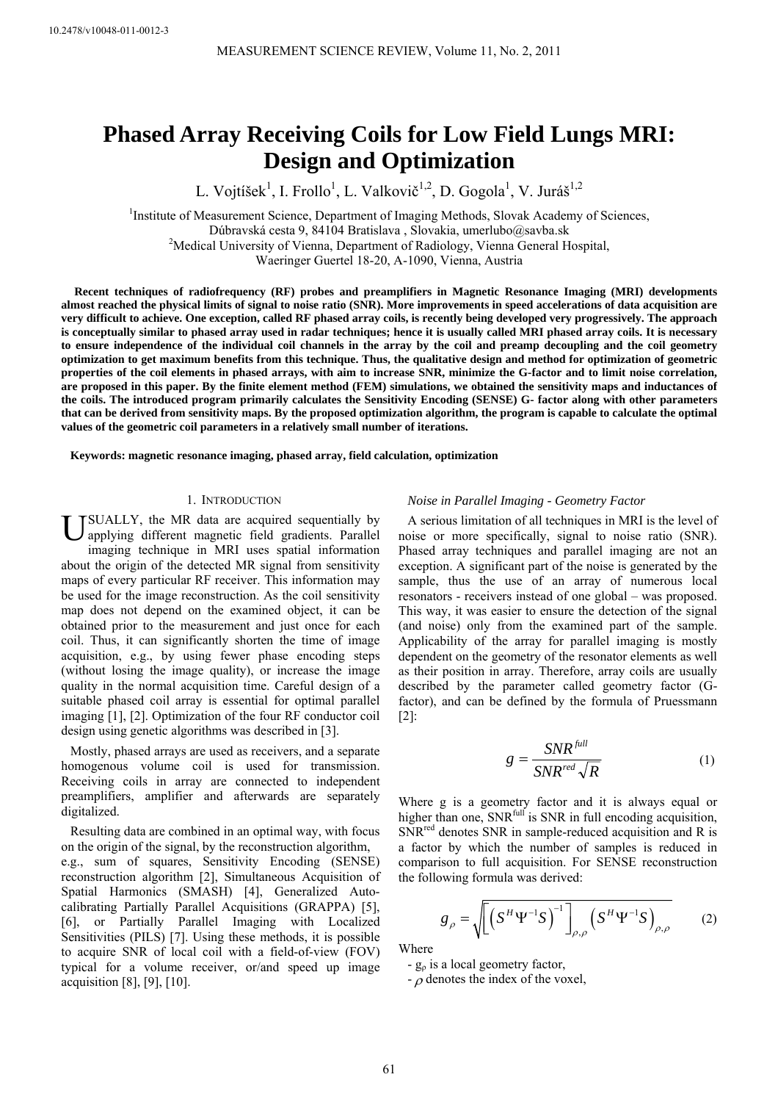# **Phased Array Receiving Coils for Low Field Lungs MRI: Design and Optimization**

L. Vojtíšek<sup>1</sup>, I. Frollo<sup>1</sup>, L. Valkovič<sup>1,2</sup>, D. Gogola<sup>1</sup>, V. Juráš<sup>1,2</sup>

<sup>1</sup>Institute of Measurement Science, Department of Imaging Methods, Slovak Academy of Sciences, Dúbravská cesta 9, 84104 Bratislava, Slovakia, umerlubo@savba.sk Medical University of Vienna, Department of Radiology, Vienna General Hospital, Waeringer Guertel 18-20, A-1090, Vienna, Austria

**Recent techniques of radiofrequency (RF) probes and preamplifiers in Magnetic Resonance Imaging (MRI) developments almost reached the physical limits of signal to noise ratio (SNR). More improvements in speed accelerations of data acquisition are very difficult to achieve. One exception, called RF phased array coils, is recently being developed very progressively. The approach is conceptually similar to phased array used in radar techniques; hence it is usually called MRI phased array coils. It is necessary to ensure independence of the individual coil channels in the array by the coil and preamp decoupling and the coil geometry optimization to get maximum benefits from this technique. Thus, the qualitative design and method for optimization of geometric properties of the coil elements in phased arrays, with aim to increase SNR, minimize the G-factor and to limit noise correlation, are proposed in this paper. By the finite element method (FEM) simulations, we obtained the sensitivity maps and inductances of the coils. The introduced program primarily calculates the Sensitivity Encoding (SENSE) G- factor along with other parameters that can be derived from sensitivity maps. By the proposed optimization algorithm, the program is capable to calculate the optimal values of the geometric coil parameters in a relatively small number of iterations.** 

**Keywords: magnetic resonance imaging, phased array, field calculation, optimization** 

## 1. INTRODUCTION

USUALLY, the MR data are acquired sequentially by applying different magnetic field gradients. Parallel applying different magnetic field gradients. Parallel imaging technique in MRI uses spatial information about the origin of the detected MR signal from sensitivity maps of every particular RF receiver. This information may be used for the image reconstruction. As the coil sensitivity map does not depend on the examined object, it can be obtained prior to the measurement and just once for each coil. Thus, it can significantly shorten the time of image acquisition, e.g., by using fewer phase encoding steps (without losing the image quality), or increase the image quality in the normal acquisition time. Careful design of a suitable phased coil array is essential for optimal parallel imaging [1], [2]. Optimization of the four RF conductor coil design using genetic algorithms was described in [3].

Mostly, phased arrays are used as receivers, and a separate homogenous volume coil is used for transmission. Receiving coils in array are connected to independent preamplifiers, amplifier and afterwards are separately digitalized.

Resulting data are combined in an optimal way, with focus on the origin of the signal, by the reconstruction algorithm, e.g., sum of squares, Sensitivity Encoding (SENSE) reconstruction algorithm [2], Simultaneous Acquisition of Spatial Harmonics (SMASH) [4], Generalized Autocalibrating Partially Parallel Acquisitions (GRAPPA) [5], [6], or Partially Parallel Imaging with Localized Sensitivities (PILS) [7]. Using these methods, it is possible to acquire SNR of local coil with a field-of-view (FOV) typical for a volume receiver, or/and speed up image acquisition [8], [9], [10].

## *Noise in Parallel Imaging - Geometry Factor*

A serious limitation of all techniques in MRI is the level of noise or more specifically, signal to noise ratio (SNR). Phased array techniques and parallel imaging are not an exception. A significant part of the noise is generated by the sample, thus the use of an array of numerous local resonators - receivers instead of one global – was proposed. This way, it was easier to ensure the detection of the signal (and noise) only from the examined part of the sample. Applicability of the array for parallel imaging is mostly dependent on the geometry of the resonator elements as well as their position in array. Therefore, array coils are usually described by the parameter called geometry factor (Gfactor), and can be defined by the formula of Pruessmann [2]:

$$
g = \frac{SNR^{full}}{SNR^{red}\sqrt{R}}
$$
 (1)

Where g is a geometry factor and it is always equal or higher than one, SNR<sup>full</sup> is SNR in full encoding acquisition, SNRred denotes SNR in sample-reduced acquisition and R is a factor by which the number of samples is reduced in comparison to full acquisition. For SENSE reconstruction the following formula was derived:

$$
g_{\rho} = \sqrt{\left[ \left( S^H \Psi^{-1} S \right)^{-1} \right]_{\rho, \rho} \left( S^H \Psi^{-1} S \right)_{\rho, \rho}}
$$
 (2)

Where

- gρ is a local geometry factor,

 $-\rho$  denotes the index of the voxel,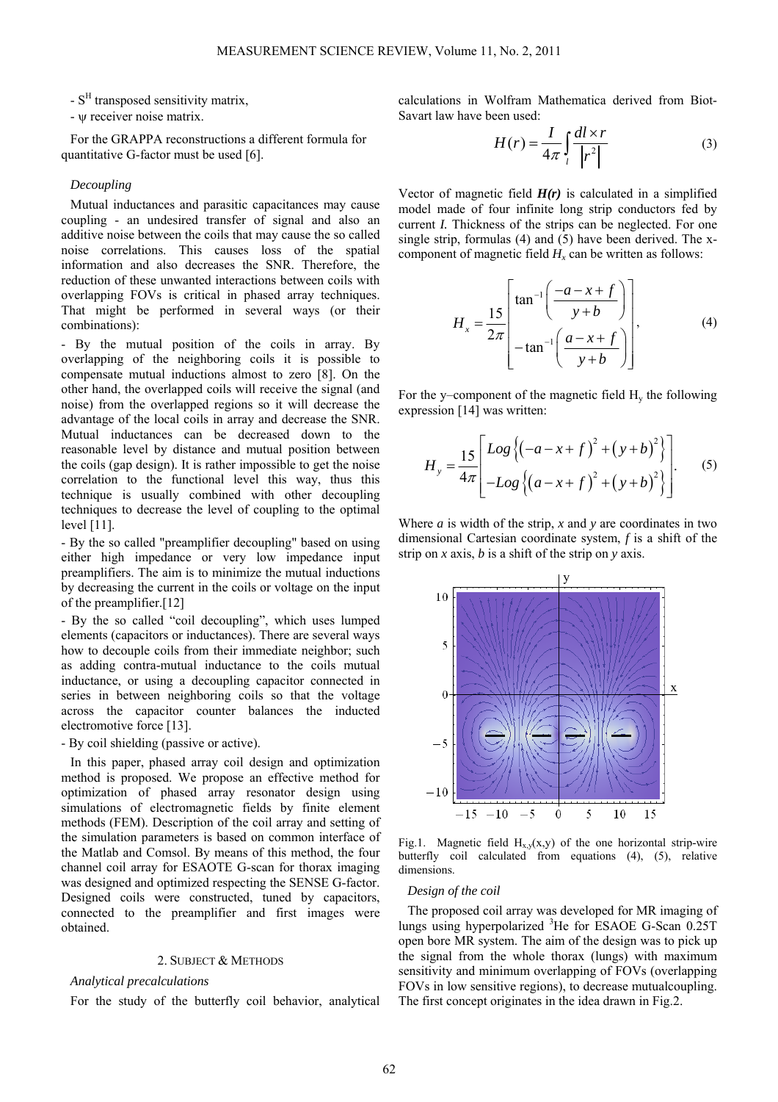$-S<sup>H</sup>$  transposed sensitivity matrix,

- ψ receiver noise matrix.

For the GRAPPA reconstructions a different formula for quantitative G-factor must be used [6].

## *Decoupling*

Mutual inductances and parasitic capacitances may cause coupling - an undesired transfer of signal and also an additive noise between the coils that may cause the so called noise correlations. This causes loss of the spatial information and also decreases the SNR. Therefore, the reduction of these unwanted interactions between coils with overlapping FOVs is critical in phased array techniques. That might be performed in several ways (or their combinations):

- By the mutual position of the coils in array. By overlapping of the neighboring coils it is possible to compensate mutual inductions almost to zero [8]. On the other hand, the overlapped coils will receive the signal (and noise) from the overlapped regions so it will decrease the advantage of the local coils in array and decrease the SNR. Mutual inductances can be decreased down to the reasonable level by distance and mutual position between the coils (gap design). It is rather impossible to get the noise correlation to the functional level this way, thus this technique is usually combined with other decoupling techniques to decrease the level of coupling to the optimal level [11].

- By the so called "preamplifier decoupling" based on using either high impedance or very low impedance input preamplifiers. The aim is to minimize the mutual inductions by decreasing the current in the coils or voltage on the input of the preamplifier.[12]

- By the so called "coil decoupling", which uses lumped elements (capacitors or inductances). There are several ways how to decouple coils from their immediate neighbor; such as adding contra-mutual inductance to the coils mutual inductance, or using a decoupling capacitor connected in series in between neighboring coils so that the voltage across the capacitor counter balances the inducted electromotive force [13].

- By coil shielding (passive or active).

In this paper, phased array coil design and optimization method is proposed. We propose an effective method for optimization of phased array resonator design using simulations of electromagnetic fields by finite element methods (FEM). Description of the coil array and setting of the simulation parameters is based on common interface of the Matlab and Comsol. By means of this method, the four channel coil array for ESAOTE G-scan for thorax imaging was designed and optimized respecting the SENSE G-factor. Designed coils were constructed, tuned by capacitors, connected to the preamplifier and first images were obtained.

# 2. SUBJECT & METHODS

## *Analytical precalculations*

For the study of the butterfly coil behavior, analytical

calculations in Wolfram Mathematica derived from Biot-Savart law have been used:

$$
H(r) = \frac{I}{4\pi} \int_{l} \frac{dl \times r}{|r^2|} \tag{3}
$$

Vector of magnetic field  $H(r)$  is calculated in a simplified model made of four infinite long strip conductors fed by current *I.* Thickness of the strips can be neglected. For one single strip, formulas  $(4)$  and  $(5)$  have been derived. The xcomponent of magnetic field  $H_x$  can be written as follows:

$$
H_x = \frac{15}{2\pi} \begin{bmatrix} \tan^{-1} \left( \frac{-a - x + f}{y + b} \right) \\ -\tan^{-1} \left( \frac{a - x + f}{y + b} \right) \end{bmatrix},
$$
(4)

For the y-component of the magnetic field  $H<sub>v</sub>$  the following expression [14] was written:

$$
H_{y} = \frac{15}{4\pi} \left[ \frac{Log \left\{ \left( -a - x + f \right)^{2} + \left( y + b \right)^{2} \right\}}{-Log \left\{ \left( a - x + f \right)^{2} + \left( y + b \right)^{2} \right\}} \right].
$$
 (5)

Where *a* is width of the strip, *x* and *y* are coordinates in two dimensional Cartesian coordinate system, *f* is a shift of the strip on *x* axis, *b* is a shift of the strip on *y* axis.



Fig.1. Magnetic field  $H_{x,y}(x,y)$  of the one horizontal strip-wire butterfly coil calculated from equations (4), (5), relative dimensions.

#### *Design of the coil*

The proposed coil array was developed for MR imaging of lungs using hyperpolarized <sup>3</sup>He for ESAOE G-Scan 0.25T open bore MR system. The aim of the design was to pick up the signal from the whole thorax (lungs) with maximum sensitivity and minimum overlapping of FOVs (overlapping FOVs in low sensitive regions), to decrease mutualcoupling. The first concept originates in the idea drawn in Fig.2.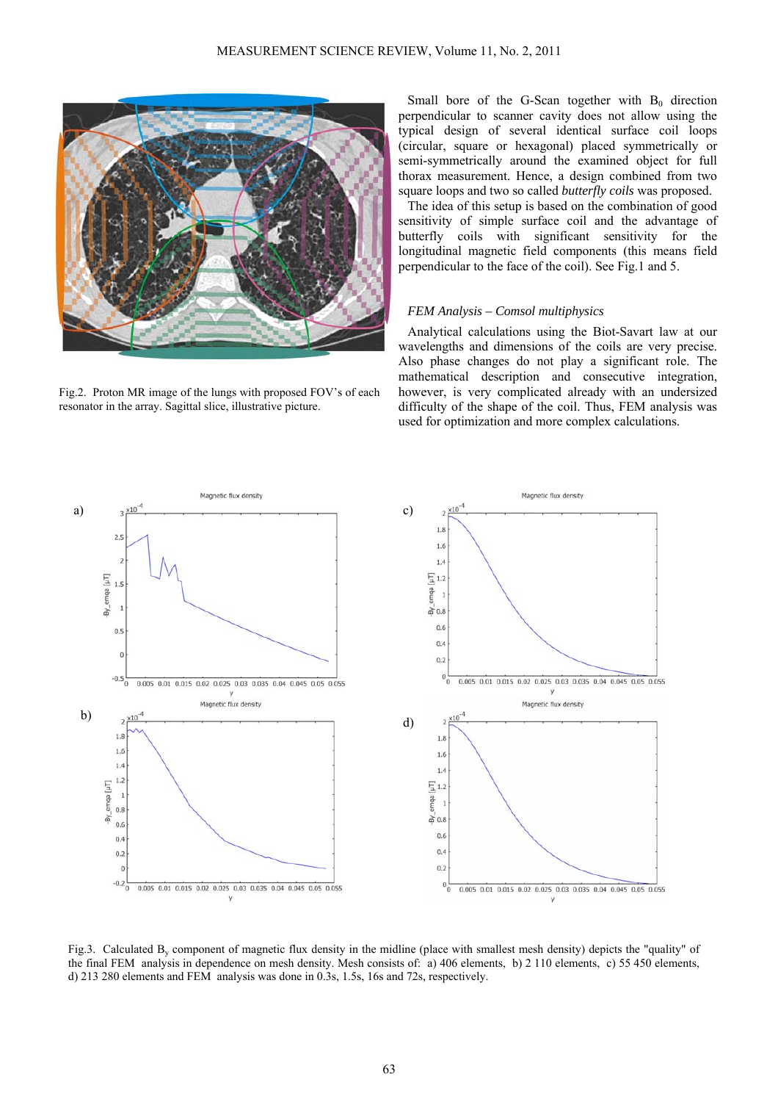

Fig.2. Proton MR image of the lungs with proposed FOV's of each resonator in the array. Sagittal slice, illustrative picture.

Small bore of the G-Scan together with  $B_0$  direction perpendicular to scanner cavity does not allow using the typical design of several identical surface coil loops (circular, square or hexagonal) placed symmetrically or semi-symmetrically around the examined object for full thorax measurement. Hence, a design combined from two square loops and two so called *butterfly coils* was proposed.

The idea of this setup is based on the combination of good sensitivity of simple surface coil and the advantage of butterfly coils with significant sensitivity for the longitudinal magnetic field components (this means field perpendicular to the face of the coil). See Fig.1 and 5.

# *FEM Analysis – Comsol multiphysics*

Analytical calculations using the Biot-Savart law at our wavelengths and dimensions of the coils are very precise. Also phase changes do not play a significant role. The mathematical description and consecutive integration, however, is very complicated already with an undersized difficulty of the shape of the coil. Thus, FEM analysis was used for optimization and more complex calculations.

![](_page_2_Figure_7.jpeg)

Fig.3. Calculated By component of magnetic flux density in the midline (place with smallest mesh density) depicts the "quality" of the final FEM analysis in dependence on mesh density. Mesh consists of: a) 406 elements, b) 2 110 elements, c) 55 450 elements, d) 213 280 elements and FEM analysis was done in 0.3s, 1.5s, 16s and 72s, respectively.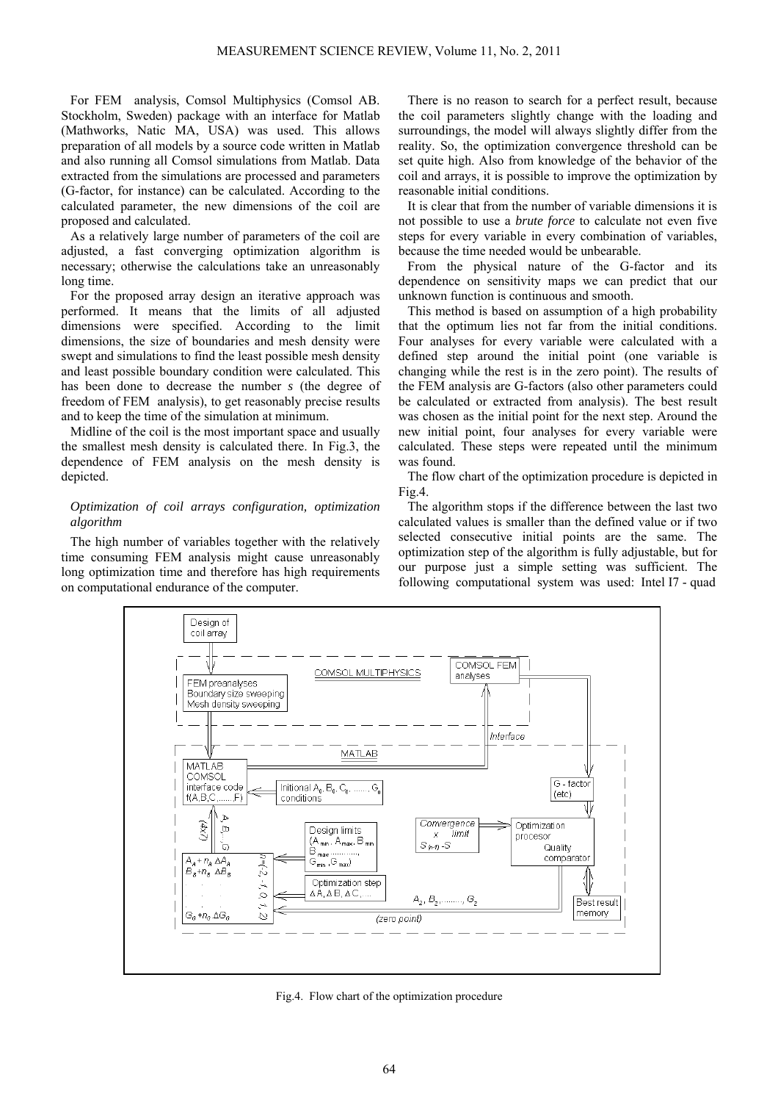For FEM analysis, Comsol Multiphysics (Comsol AB. Stockholm, Sweden) package with an interface for Matlab (Mathworks, Natic MA, USA) was used. This allows preparation of all models by a source code written in Matlab and also running all Comsol simulations from Matlab. Data extracted from the simulations are processed and parameters (G-factor, for instance) can be calculated. According to the calculated parameter, the new dimensions of the coil are proposed and calculated.

As a relatively large number of parameters of the coil are adjusted, a fast converging optimization algorithm is necessary; otherwise the calculations take an unreasonably long time.

For the proposed array design an iterative approach was performed. It means that the limits of all adjusted dimensions were specified. According to the limit dimensions, the size of boundaries and mesh density were swept and simulations to find the least possible mesh density and least possible boundary condition were calculated. This has been done to decrease the number *s* (the degree of freedom of FEM analysis), to get reasonably precise results and to keep the time of the simulation at minimum.

Midline of the coil is the most important space and usually the smallest mesh density is calculated there. In Fig.3, the dependence of FEM analysis on the mesh density is depicted.

# *Optimization of coil arrays configuration, optimization algorithm*

The high number of variables together with the relatively time consuming FEM analysis might cause unreasonably long optimization time and therefore has high requirements on computational endurance of the computer.

There is no reason to search for a perfect result, because the coil parameters slightly change with the loading and surroundings, the model will always slightly differ from the reality. So, the optimization convergence threshold can be set quite high. Also from knowledge of the behavior of the coil and arrays, it is possible to improve the optimization by reasonable initial conditions.

It is clear that from the number of variable dimensions it is not possible to use a *brute force* to calculate not even five steps for every variable in every combination of variables, because the time needed would be unbearable.

From the physical nature of the G-factor and its dependence on sensitivity maps we can predict that our unknown function is continuous and smooth.

This method is based on assumption of a high probability that the optimum lies not far from the initial conditions. Four analyses for every variable were calculated with a defined step around the initial point (one variable is changing while the rest is in the zero point). The results of the FEM analysis are G-factors (also other parameters could be calculated or extracted from analysis). The best result was chosen as the initial point for the next step. Around the new initial point, four analyses for every variable were calculated. These steps were repeated until the minimum was found.

The flow chart of the optimization procedure is depicted in Fig.4.

The algorithm stops if the difference between the last two calculated values is smaller than the defined value or if two selected consecutive initial points are the same. The optimization step of the algorithm is fully adjustable, but for our purpose just a simple setting was sufficient. The following computational system was used: Intel I7 - quad

![](_page_3_Figure_13.jpeg)

Fig.4. Flow chart of the optimization procedure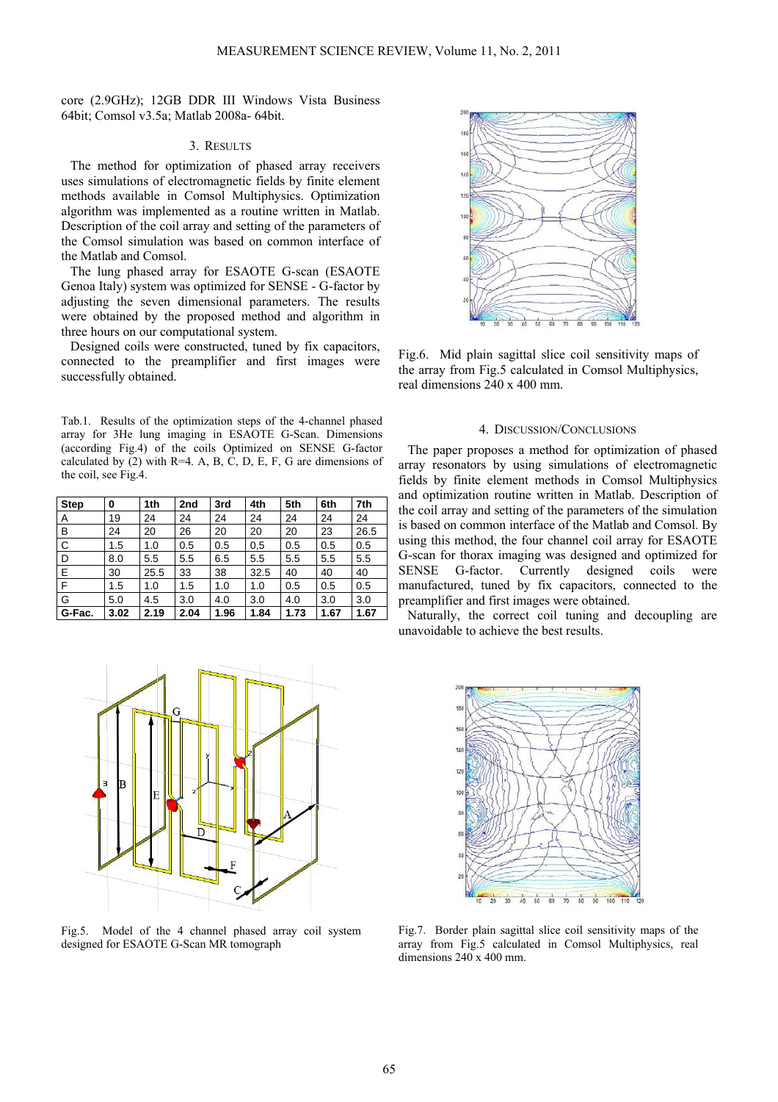core (2.9GHz); 12GB DDR III Windows Vista Business 64bit; Comsol v3.5a; Matlab 2008a- 64bit.

## 3. RESULTS

The method for optimization of phased array receivers uses simulations of electromagnetic fields by finite element methods available in Comsol Multiphysics. Optimization algorithm was implemented as a routine written in Matlab. Description of the coil array and setting of the parameters of the Comsol simulation was based on common interface of the Matlab and Comsol.

The lung phased array for ESAOTE G-scan (ESAOTE Genoa Italy) system was optimized for SENSE - G-factor by adjusting the seven dimensional parameters. The results were obtained by the proposed method and algorithm in three hours on our computational system.

Designed coils were constructed, tuned by fix capacitors, connected to the preamplifier and first images were successfully obtained.

Tab.1. Results of the optimization steps of the 4-channel phased array for 3He lung imaging in ESAOTE G-Scan. Dimensions (according Fig.4) of the coils Optimized on SENSE G-factor calculated by  $(2)$  with R=4. A, B, C, D, E, F, G are dimensions of the coil, see Fig.4.

| <b>Step</b> | 0    | 1th  | 2nd  | 3rd  | 4th  | 5th  | 6th  | 7th  |
|-------------|------|------|------|------|------|------|------|------|
| A           | 19   | 24   | 24   | 24   | 24   | 24   | 24   | 24   |
| B           | 24   | 20   | 26   | 20   | 20   | 20   | 23   | 26.5 |
| C           | 1.5  | 1.0  | 0.5  | 0.5  | 0,5  | 0.5  | 0.5  | 0.5  |
| D           | 8.0  | 5.5  | 5.5  | 6.5  | 5.5  | 5.5  | 5.5  | 5.5  |
| E           | 30   | 25.5 | 33   | 38   | 32.5 | 40   | 40   | 40   |
| F           | 1.5  | 1.0  | 1.5  | 1.0  | 1.0  | 0.5  | 0.5  | 0.5  |
| G           | 5.0  | 4.5  | 3.0  | 4.0  | 3.0  | 4.0  | 3.0  | 3.0  |
| G-Fac.      | 3.02 | 2.19 | 2.04 | 1.96 | 1.84 | 1.73 | 1.67 | 1.67 |

![](_page_4_Figure_8.jpeg)

Fig.5. Model of the 4 channel phased array coil system designed for ESAOTE G-Scan MR tomograph

![](_page_4_Figure_10.jpeg)

Fig.6. Mid plain sagittal slice coil sensitivity maps of the array from Fig.5 calculated in Comsol Multiphysics, real dimensions 240 x 400 mm.

#### 4. DISCUSSION/CONCLUSIONS

The paper proposes a method for optimization of phased array resonators by using simulations of electromagnetic fields by finite element methods in Comsol Multiphysics and optimization routine written in Matlab. Description of the coil array and setting of the parameters of the simulation is based on common interface of the Matlab and Comsol. By using this method, the four channel coil array for ESAOTE G-scan for thorax imaging was designed and optimized for SENSE G-factor. Currently designed coils were manufactured, tuned by fix capacitors, connected to the preamplifier and first images were obtained.

Naturally, the correct coil tuning and decoupling are unavoidable to achieve the best results.

![](_page_4_Figure_15.jpeg)

Fig.7. Border plain sagittal slice coil sensitivity maps of the array from Fig.5 calculated in Comsol Multiphysics, real dimensions 240 x 400 mm.